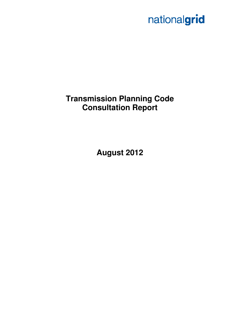# nationalgrid

# **Transmission Planning Code Consultation Report**

**August 2012**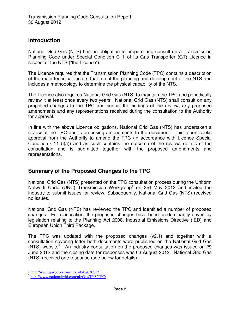#### **Introduction**

National Grid Gas (NTS) has an obligation to prepare and consult on a Transmission Planning Code under Special Condition C11 of its Gas Transporter (GT) Licence in respect of the NTS ("the Licence").

The Licence requires that the Transmission Planning Code (TPC) contains a description of the main technical factors that affect the planning and development of the NTS and includes a methodology to determine the physical capability of the NTS.

The Licence also requires National Grid Gas (NTS) to maintain the TPC and periodically review it at least once every two years. National Grid Gas (NTS) shall consult on any proposed changes to the TPC and submit the findings of the review, any proposed amendments and any representations received during the consultation to the Authority for approval.

In line with the above Licence obligations, National Grid Gas (NTS) has undertaken a review of the TPC and is proposing amendments to the document. This report seeks approval from the Authority to amend the TPC (in accordance with Licence Special Condition C11 5(a)) and as such contains the outcome of the review, details of the consultation and is submitted together with the proposed amendments and representations.

## **Summary of the Proposed Changes to the TPC**

National Grid Gas (NTS) presented on the TPC consultation process during the Uniform Network Code (UNC) Transmission Workgroup<sup>1</sup> on 3rd May 2012 and invited the industry to submit issues for review. Subsequently, National Grid Gas (NTS) received no issues.

National Grid Gas (NTS) has reviewed the TPC and identified a number of proposed changes. For clarification, the proposed changes have been predominantly driven by legislation relating to the Planning Act 2008, Industrial Emissions Directive (IED) and European Union Third Package.

The TPC was updated with the proposed changes (v2.1) and together with a consultation covering letter both documents were published on the National Grid Gas (NTS) website<sup>2</sup>. An industry consultation on the proposed changes was issued on 29 June 2012 and the closing date for responses was 03 August 2012. National Grid Gas (NTS) received one response (see below for details).

 $\overline{a}$ <sup>1</sup> http://www.gasgovernance.co.uk/tx/030512

<sup>&</sup>lt;sup>2</sup> http://www.nationalgrid.com/uk/Gas/TYS/TPC/